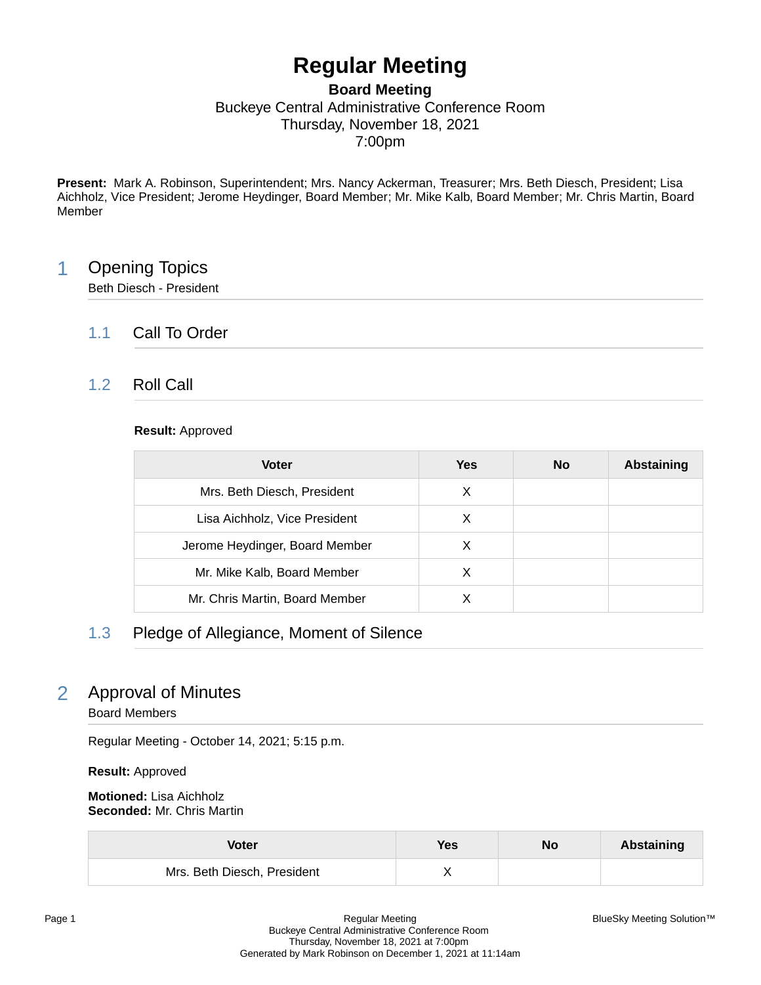# **Regular Meeting**

### **Board Meeting** Buckeye Central Administrative Conference Room Thursday, November 18, 2021 7:00pm

**Present:** Mark A. Robinson, Superintendent; Mrs. Nancy Ackerman, Treasurer; Mrs. Beth Diesch, President; Lisa Aichholz, Vice President; Jerome Heydinger, Board Member; Mr. Mike Kalb, Board Member; Mr. Chris Martin, Board Member

# 1 Opening Topics

Beth Diesch - President

### 1.1 Call To Order

### 1.2 Roll Call

#### **Result:** Approved

| <b>Voter</b>                   | Yes | <b>No</b> | <b>Abstaining</b> |
|--------------------------------|-----|-----------|-------------------|
| Mrs. Beth Diesch, President    | X   |           |                   |
| Lisa Aichholz, Vice President  | X   |           |                   |
| Jerome Heydinger, Board Member | X   |           |                   |
| Mr. Mike Kalb, Board Member    | X   |           |                   |
| Mr. Chris Martin, Board Member |     |           |                   |

# 1.3 Pledge of Allegiance, Moment of Silence

# 2 Approval of Minutes

Board Members

Regular Meeting - October 14, 2021; 5:15 p.m.

**Result:** Approved

**Motioned:** Lisa Aichholz **Seconded:** Mr. Chris Martin

| Voter                       | Yes | No | Abstaining |
|-----------------------------|-----|----|------------|
| Mrs. Beth Diesch, President |     |    |            |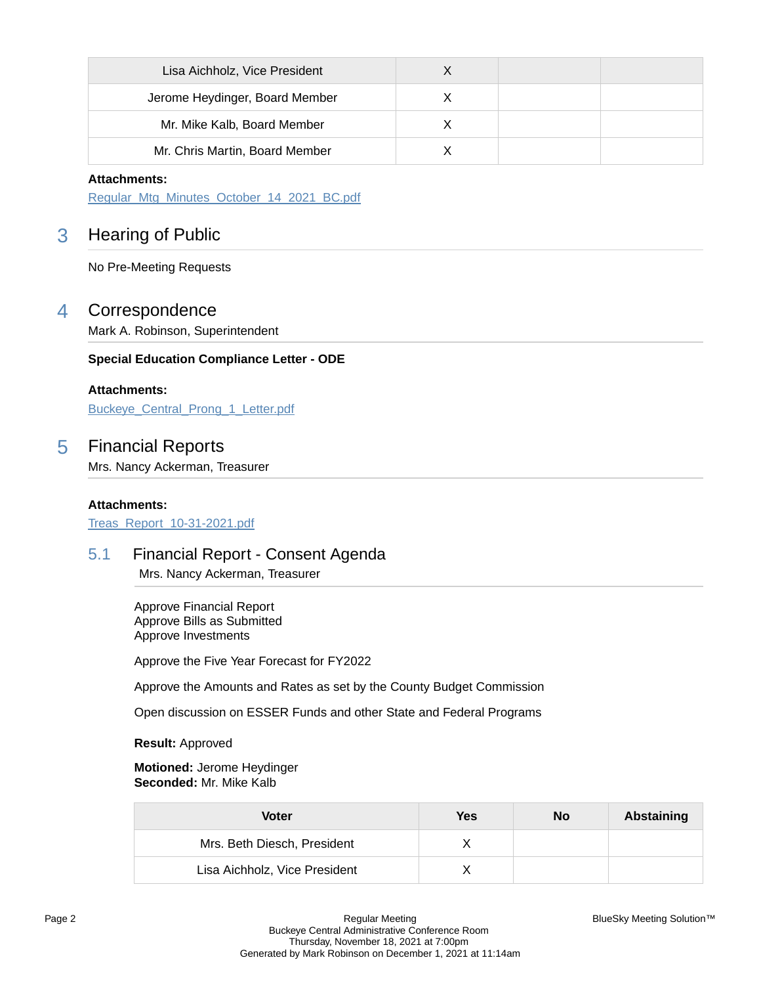| Lisa Aichholz, Vice President  |  |  |
|--------------------------------|--|--|
| Jerome Heydinger, Board Member |  |  |
| Mr. Mike Kalb, Board Member    |  |  |
| Mr. Chris Martin, Board Member |  |  |

#### **Attachments:**

[Regular\\_Mtg\\_Minutes\\_October\\_14\\_2021\\_BC.pdf](https://bcbucks.blueskymeeting.com/meeting_groups/32/item_attachments/62392)

# 3 Hearing of Public

No Pre-Meeting Requests

### 4 Correspondence

Mark A. Robinson, Superintendent

#### **Special Education Compliance Letter - ODE**

#### **Attachments:**

[Buckeye\\_Central\\_Prong\\_1\\_Letter.pdf](https://bcbucks.blueskymeeting.com/meeting_groups/32/item_attachments/62753)

### 5 Financial Reports

Mrs. Nancy Ackerman, Treasurer

#### **Attachments:**

[Treas\\_Report\\_10-31-2021.pdf](https://bcbucks.blueskymeeting.com/meeting_groups/32/item_attachments/62756)

### 5.1 Financial Report - Consent Agenda

Mrs. Nancy Ackerman, Treasurer

Approve Financial Report Approve Bills as Submitted Approve Investments

Approve the Five Year Forecast for FY2022

Approve the Amounts and Rates as set by the County Budget Commission

Open discussion on ESSER Funds and other State and Federal Programs

**Result:** Approved

**Motioned:** Jerome Heydinger **Seconded:** Mr. Mike Kalb

| Voter                         | Yes | No | Abstaining |
|-------------------------------|-----|----|------------|
| Mrs. Beth Diesch, President   |     |    |            |
| Lisa Aichholz, Vice President |     |    |            |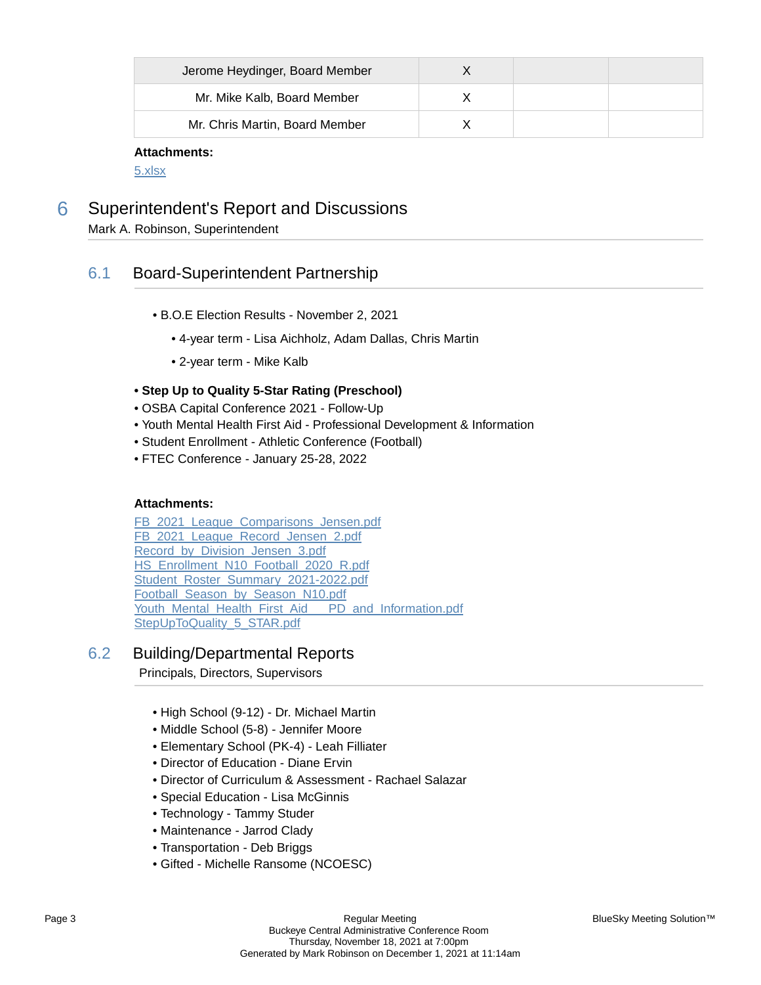| Jerome Heydinger, Board Member |  |  |
|--------------------------------|--|--|
| Mr. Mike Kalb, Board Member    |  |  |
| Mr. Chris Martin, Board Member |  |  |

#### **Attachments:**

[5.xlsx](https://bcbucks.blueskymeeting.com/meeting_groups/32/item_attachments/62853)

6 Superintendent's Report and Discussions

Mark A. Robinson, Superintendent

### 6.1 Board-Superintendent Partnership

- B.O.E Election Results November 2, 2021
	- 4-year term Lisa Aichholz, Adam Dallas, Chris Martin
	- 2-year term Mike Kalb

#### **• Step Up to Quality 5-Star Rating (Preschool)**

- OSBA Capital Conference 2021 Follow-Up
- Youth Mental Health First Aid Professional Development & Information
- Student Enrollment Athletic Conference (Football)
- FTEC Conference January 25-28, 2022

#### **Attachments:**

FB 2021 League Comparisons Jensen.pdf FB 2021 League Record Jensen 2.pdf [Record\\_by\\_Division\\_Jensen\\_3.pdf](https://bcbucks.blueskymeeting.com/meeting_groups/32/item_attachments/62701) [HS\\_Enrollment\\_N10\\_Football\\_2020\\_R.pdf](https://bcbucks.blueskymeeting.com/meeting_groups/32/item_attachments/62702) [Student\\_Roster\\_Summary\\_2021-2022.pdf](https://bcbucks.blueskymeeting.com/meeting_groups/32/item_attachments/62703) Football Season by Season N10.pdf [Youth\\_Mental\\_Health\\_First\\_Aid\\_\\_\\_PD\\_and\\_Information.pdf](https://bcbucks.blueskymeeting.com/meeting_groups/32/item_attachments/62827) [StepUpToQuality\\_5\\_STAR.pdf](https://bcbucks.blueskymeeting.com/meeting_groups/32/item_attachments/62854)

### 6.2 Building/Departmental Reports

Principals, Directors, Supervisors

- High School (9-12) Dr. Michael Martin
- Middle School (5-8) Jennifer Moore
- Elementary School (PK-4) Leah Filliater
- Director of Education Diane Ervin
- Director of Curriculum & Assessment Rachael Salazar
- Special Education Lisa McGinnis
- Technology Tammy Studer
- Maintenance Jarrod Clady
- Transportation Deb Briggs
- Gifted Michelle Ransome (NCOESC)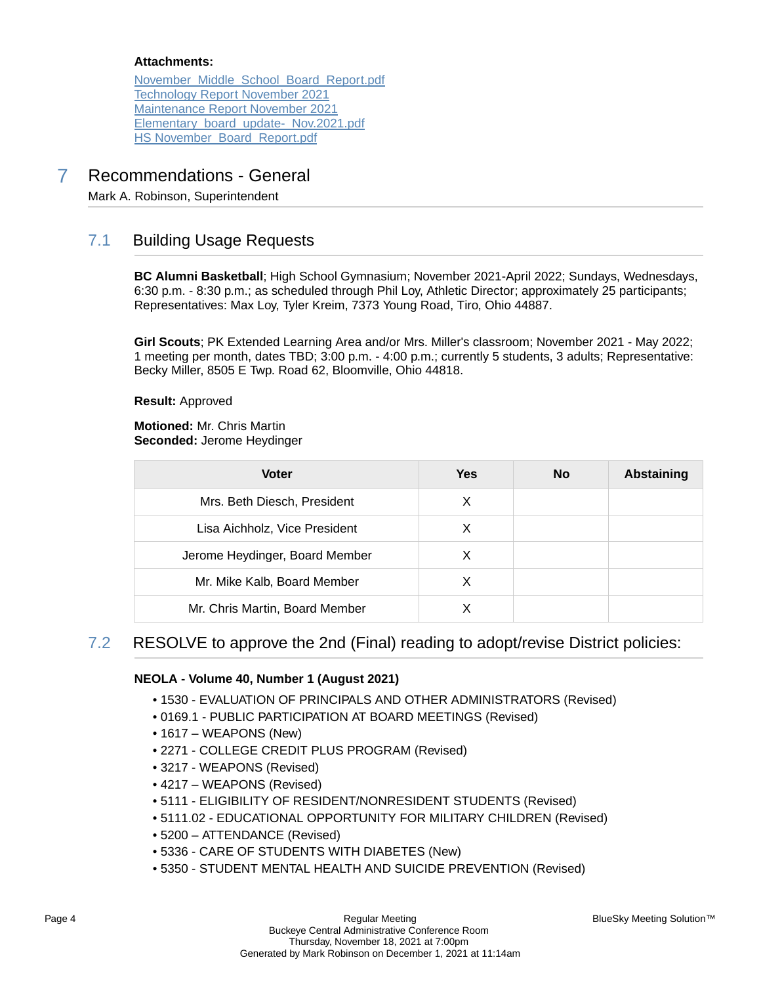#### **Attachments:**

[November\\_Middle\\_School\\_Board\\_Report.pdf](https://bcbucks.blueskymeeting.com/meeting_groups/32/item_attachments/62711) [Technology Report November 2021](https://bcbucks.blueskymeeting.com/meeting_groups/32/item_attachments/62712) [Maintenance Report November 2021](https://bcbucks.blueskymeeting.com/meeting_groups/32/item_attachments/62713) [Elementary\\_board\\_update-\\_Nov.2021.pdf](https://bcbucks.blueskymeeting.com/meeting_groups/32/item_attachments/62761) [HS November\\_Board\\_Report.pdf](https://bcbucks.blueskymeeting.com/meeting_groups/32/item_attachments/62858)

# 7 Recommendations - General

Mark A. Robinson, Superintendent

# 7.1 Building Usage Requests

**BC Alumni Basketball**; High School Gymnasium; November 2021-April 2022; Sundays, Wednesdays, 6:30 p.m. - 8:30 p.m.; as scheduled through Phil Loy, Athletic Director; approximately 25 participants; Representatives: Max Loy, Tyler Kreim, 7373 Young Road, Tiro, Ohio 44887.

**Girl Scouts**; PK Extended Learning Area and/or Mrs. Miller's classroom; November 2021 - May 2022; 1 meeting per month, dates TBD; 3:00 p.m. - 4:00 p.m.; currently 5 students, 3 adults; Representative: Becky Miller, 8505 E Twp. Road 62, Bloomville, Ohio 44818.

**Result:** Approved

**Motioned:** Mr. Chris Martin **Seconded:** Jerome Heydinger

| <b>Voter</b>                   | Yes | <b>No</b> | <b>Abstaining</b> |
|--------------------------------|-----|-----------|-------------------|
| Mrs. Beth Diesch, President    | X   |           |                   |
| Lisa Aichholz, Vice President  | X   |           |                   |
| Jerome Heydinger, Board Member | X   |           |                   |
| Mr. Mike Kalb, Board Member    | X   |           |                   |
| Mr. Chris Martin, Board Member |     |           |                   |

# 7.2 RESOLVE to approve the 2nd (Final) reading to adopt/revise District policies:

#### **NEOLA - Volume 40, Number 1 (August 2021)**

- 1530 EVALUATION OF PRINCIPALS AND OTHER ADMINISTRATORS (Revised)
- 0169.1 PUBLIC PARTICIPATION AT BOARD MEETINGS (Revised)
- 1617 WEAPONS (New)
- 2271 COLLEGE CREDIT PLUS PROGRAM (Revised)
- 3217 WEAPONS (Revised)
- 4217 WEAPONS (Revised)
- 5111 ELIGIBILITY OF RESIDENT/NONRESIDENT STUDENTS (Revised)
- 5111.02 EDUCATIONAL OPPORTUNITY FOR MILITARY CHILDREN (Revised)
- 5200 ATTENDANCE (Revised)
- 5336 CARE OF STUDENTS WITH DIABETES (New)
- 5350 STUDENT MENTAL HEALTH AND SUICIDE PREVENTION (Revised)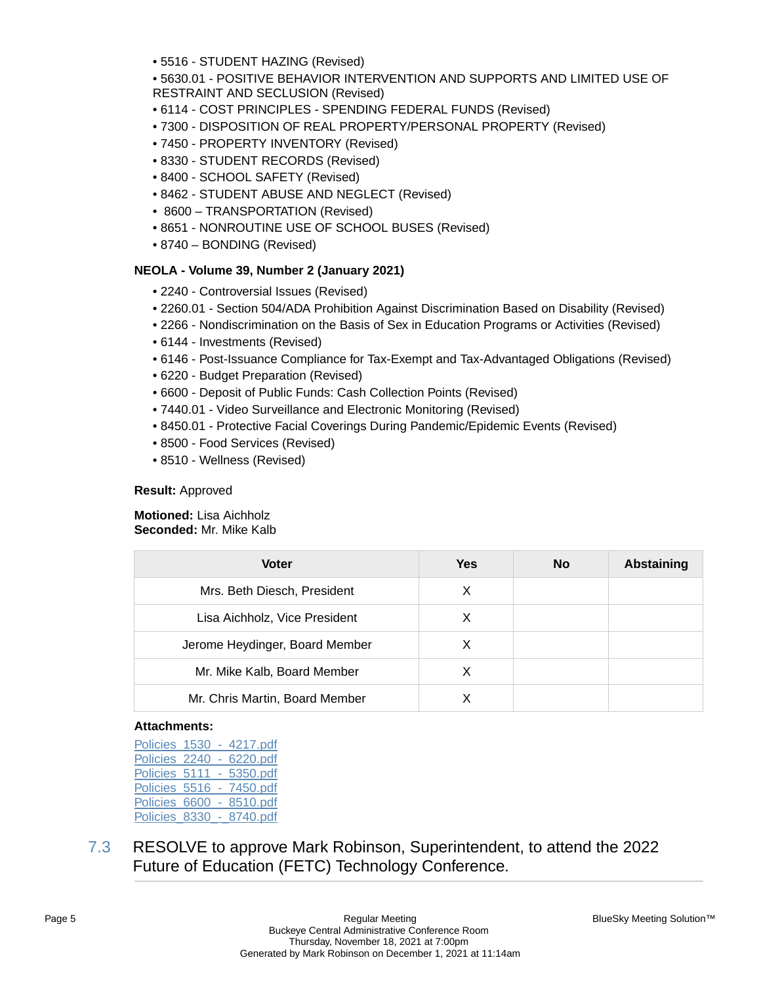• 5516 - STUDENT HAZING (Revised)

• 5630.01 - POSITIVE BEHAVIOR INTERVENTION AND SUPPORTS AND LIMITED USE OF RESTRAINT AND SECLUSION (Revised)

- 6114 COST PRINCIPLES SPENDING FEDERAL FUNDS (Revised)
- 7300 DISPOSITION OF REAL PROPERTY/PERSONAL PROPERTY (Revised)
- 7450 PROPERTY INVENTORY (Revised)
- 8330 STUDENT RECORDS (Revised)
- 8400 SCHOOL SAFETY (Revised)
- 8462 STUDENT ABUSE AND NEGLECT (Revised)
- 8600 TRANSPORTATION (Revised)
- 8651 NONROUTINE USE OF SCHOOL BUSES (Revised)
- 8740 BONDING (Revised)

#### **NEOLA - Volume 39, Number 2 (January 2021)**

- 2240 Controversial Issues (Revised)
- 2260.01 Section 504/ADA Prohibition Against Discrimination Based on Disability (Revised)
- 2266 Nondiscrimination on the Basis of Sex in Education Programs or Activities (Revised)
- 6144 Investments (Revised)
- 6146 Post-Issuance Compliance for Tax-Exempt and Tax-Advantaged Obligations (Revised)
- 6220 Budget Preparation (Revised)
- 6600 Deposit of Public Funds: Cash Collection Points (Revised)
- 7440.01 Video Surveillance and Electronic Monitoring (Revised)
- 8450.01 Protective Facial Coverings During Pandemic/Epidemic Events (Revised)
- 8500 Food Services (Revised)
- 8510 Wellness (Revised)

#### **Result:** Approved

**Motioned:** Lisa Aichholz **Seconded:** Mr. Mike Kalb

| <b>Voter</b>                   | <b>Yes</b> | No | <b>Abstaining</b> |
|--------------------------------|------------|----|-------------------|
| Mrs. Beth Diesch, President    | X          |    |                   |
| Lisa Aichholz, Vice President  | X          |    |                   |
| Jerome Heydinger, Board Member | х          |    |                   |
| Mr. Mike Kalb, Board Member    | X          |    |                   |
| Mr. Chris Martin, Board Member |            |    |                   |

#### **Attachments:**

| Policies 1530 |  | - 4217.pdf |
|---------------|--|------------|
| Policies 2240 |  | 6220.pdf   |
| Policies 5111 |  | 5350.pdf   |
| Policies 5516 |  | - 7450.pdf |
| Policies 6600 |  | 8510.pdf   |
| Policies 8330 |  | 8740.pdf   |

7.3 RESOLVE to approve Mark Robinson, Superintendent, to attend the 2022 Future of Education (FETC) Technology Conference.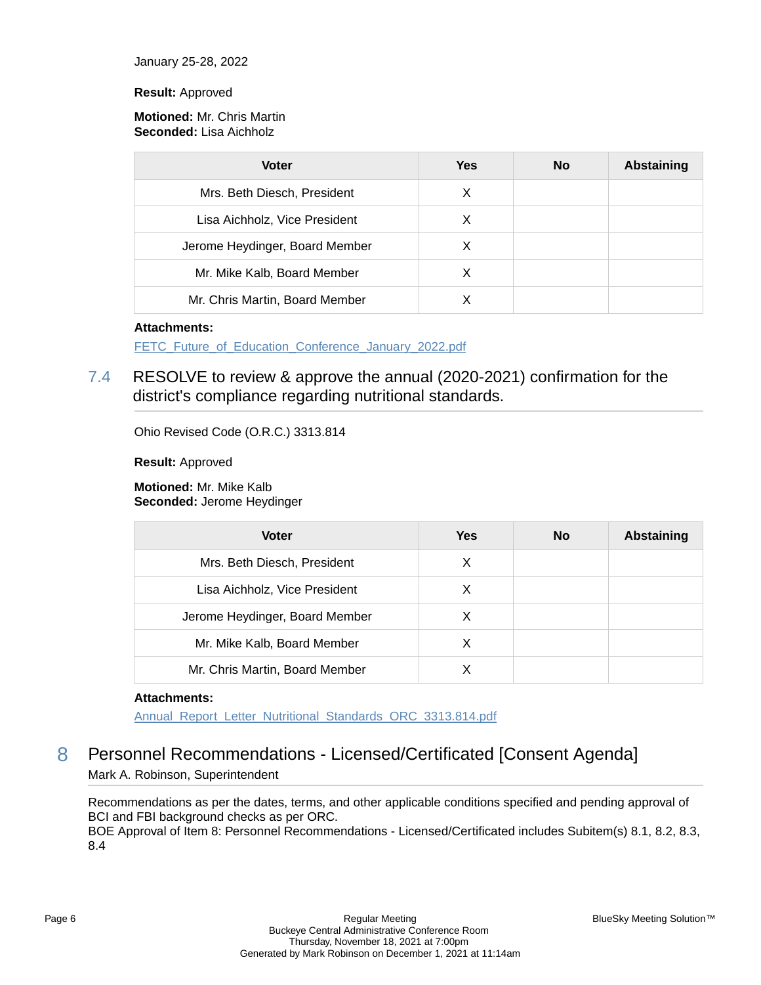January 25-28, 2022

#### **Result:** Approved

#### **Motioned:** Mr. Chris Martin **Seconded:** Lisa Aichholz

| <b>Voter</b>                   | <b>Yes</b> | <b>No</b> | Abstaining |
|--------------------------------|------------|-----------|------------|
| Mrs. Beth Diesch, President    | X          |           |            |
| Lisa Aichholz, Vice President  | х          |           |            |
| Jerome Heydinger, Board Member | X          |           |            |
| Mr. Mike Kalb, Board Member    | х          |           |            |
| Mr. Chris Martin, Board Member |            |           |            |

#### **Attachments:**

[FETC\\_Future\\_of\\_Education\\_Conference\\_January\\_2022.pdf](https://bcbucks.blueskymeeting.com/meeting_groups/32/item_attachments/62697)

# 7.4 RESOLVE to review & approve the annual (2020-2021) confirmation for the district's compliance regarding nutritional standards.

Ohio Revised Code (O.R.C.) 3313.814

**Result:** Approved

**Motioned:** Mr. Mike Kalb **Seconded:** Jerome Heydinger

| <b>Voter</b>                   | Yes | <b>No</b> | <b>Abstaining</b> |
|--------------------------------|-----|-----------|-------------------|
| Mrs. Beth Diesch, President    | X   |           |                   |
| Lisa Aichholz, Vice President  | X   |           |                   |
| Jerome Heydinger, Board Member | X   |           |                   |
| Mr. Mike Kalb, Board Member    | X   |           |                   |
| Mr. Chris Martin, Board Member |     |           |                   |

#### **Attachments:**

[Annual\\_Report\\_Letter\\_Nutritional\\_Standards\\_ORC\\_3313.814.pdf](https://bcbucks.blueskymeeting.com/meeting_groups/32/item_attachments/62865)

# 8 Personnel Recommendations - Licensed/Certificated [Consent Agenda] Mark A. Robinson, Superintendent

Recommendations as per the dates, terms, and other applicable conditions specified and pending approval of BCI and FBI background checks as per ORC. BOE Approval of Item 8: Personnel Recommendations - Licensed/Certificated includes Subitem(s) 8.1, 8.2, 8.3, 8.4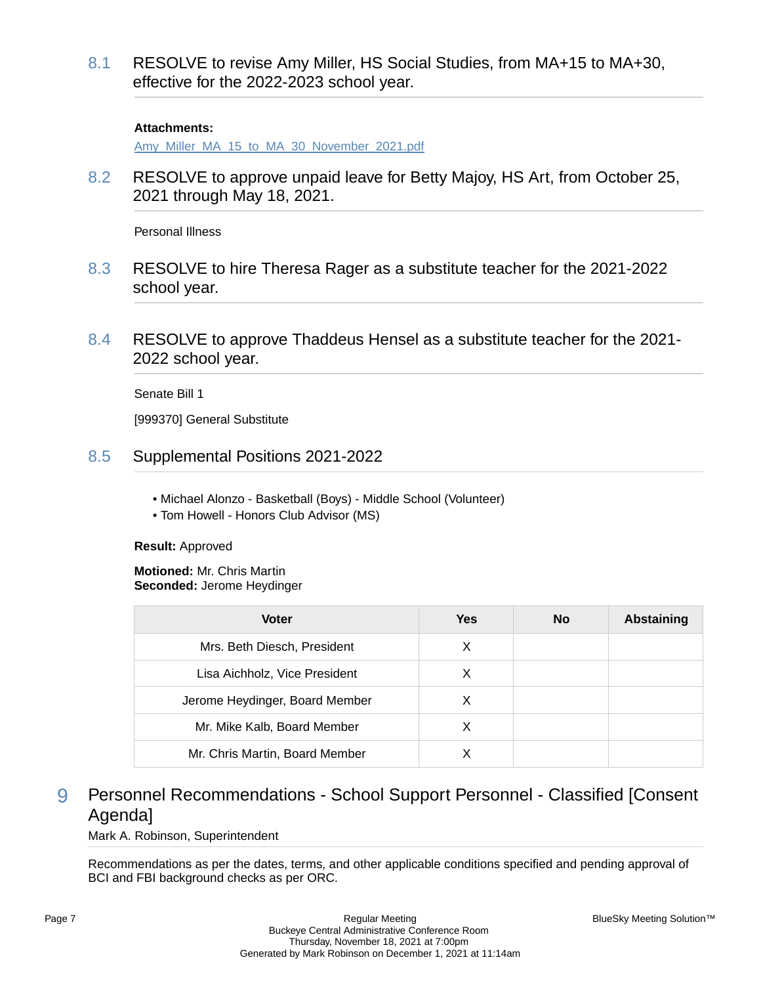8.1 RESOLVE to revise Amy Miller, HS Social Studies, from MA+15 to MA+30, effective for the 2022-2023 school year.

#### **Attachments:**

[Amy\\_Miller\\_MA\\_15\\_to\\_MA\\_30\\_November\\_2021.pdf](https://bcbucks.blueskymeeting.com/meeting_groups/32/item_attachments/62696)

8.2 RESOLVE to approve unpaid leave for Betty Majoy, HS Art, from October 25, 2021 through May 18, 2021.

Personal Illness

- 8.3 RESOLVE to hire Theresa Rager as a substitute teacher for the 2021-2022 school year.
- 8.4 RESOLVE to approve Thaddeus Hensel as a substitute teacher for the 2021- 2022 school year.

Senate Bill 1

[999370] General Substitute

- 8.5 Supplemental Positions 2021-2022
	- Michael Alonzo Basketball (Boys) Middle School (Volunteer)
	- Tom Howell Honors Club Advisor (MS)

#### **Result:** Approved

**Motioned:** Mr. Chris Martin **Seconded:** Jerome Heydinger

| <b>Voter</b>                   | <b>Yes</b> | <b>No</b> | Abstaining |
|--------------------------------|------------|-----------|------------|
| Mrs. Beth Diesch, President    | X          |           |            |
| Lisa Aichholz, Vice President  | X          |           |            |
| Jerome Heydinger, Board Member | X          |           |            |
| Mr. Mike Kalb, Board Member    | х          |           |            |
| Mr. Chris Martin, Board Member |            |           |            |

# 9 Personnel Recommendations - School Support Personnel - Classified [Consent Agenda]

Mark A. Robinson, Superintendent

Recommendations as per the dates, terms, and other applicable conditions specified and pending approval of BCI and FBI background checks as per ORC.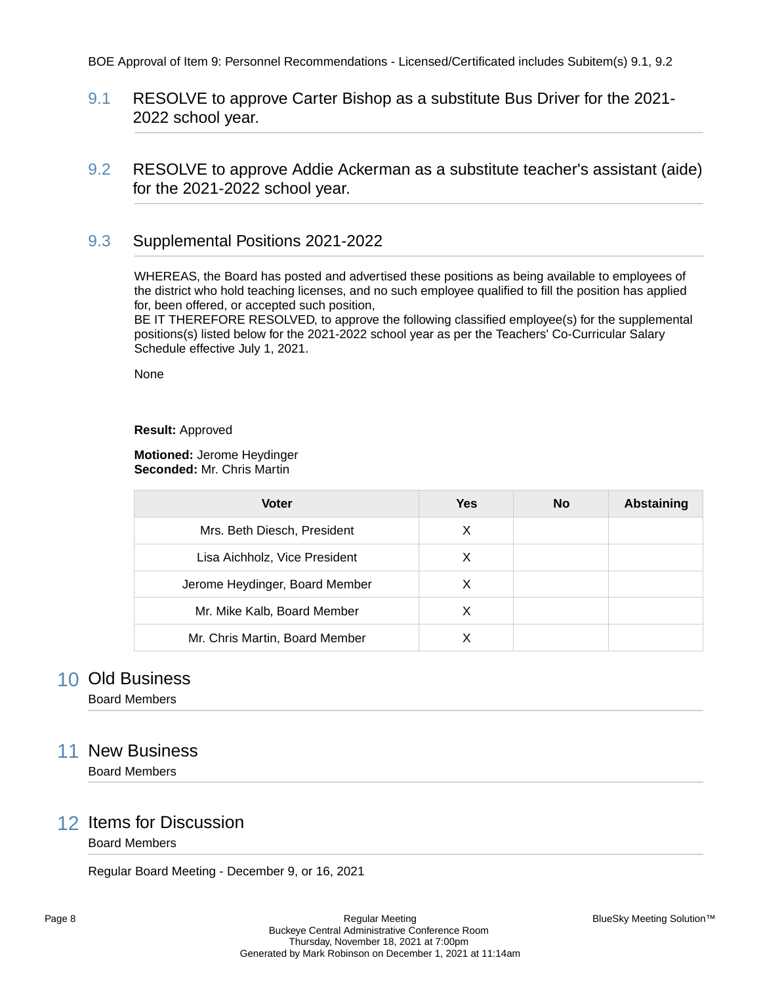### 9.1 RESOLVE to approve Carter Bishop as a substitute Bus Driver for the 2021- 2022 school year.

9.2 RESOLVE to approve Addie Ackerman as a substitute teacher's assistant (aide) for the 2021-2022 school year.

### 9.3 Supplemental Positions 2021-2022

WHEREAS, the Board has posted and advertised these positions as being available to employees of the district who hold teaching licenses, and no such employee qualified to fill the position has applied for, been offered, or accepted such position,

BE IT THEREFORE RESOLVED, to approve the following classified employee(s) for the supplemental positions(s) listed below for the 2021-2022 school year as per the Teachers' Co-Curricular Salary Schedule effective July 1, 2021.

None

#### **Result:** Approved

#### **Motioned:** Jerome Heydinger **Seconded:** Mr. Chris Martin

| <b>Voter</b>                   | Yes | <b>No</b> | Abstaining |
|--------------------------------|-----|-----------|------------|
| Mrs. Beth Diesch, President    | X   |           |            |
| Lisa Aichholz, Vice President  | X   |           |            |
| Jerome Heydinger, Board Member | X   |           |            |
| Mr. Mike Kalb, Board Member    | X   |           |            |
| Mr. Chris Martin, Board Member |     |           |            |

# 10 Old Business

Board Members

# 11 New Business

Board Members

### 12 Items for Discussion

Board Members

Regular Board Meeting - December 9, or 16, 2021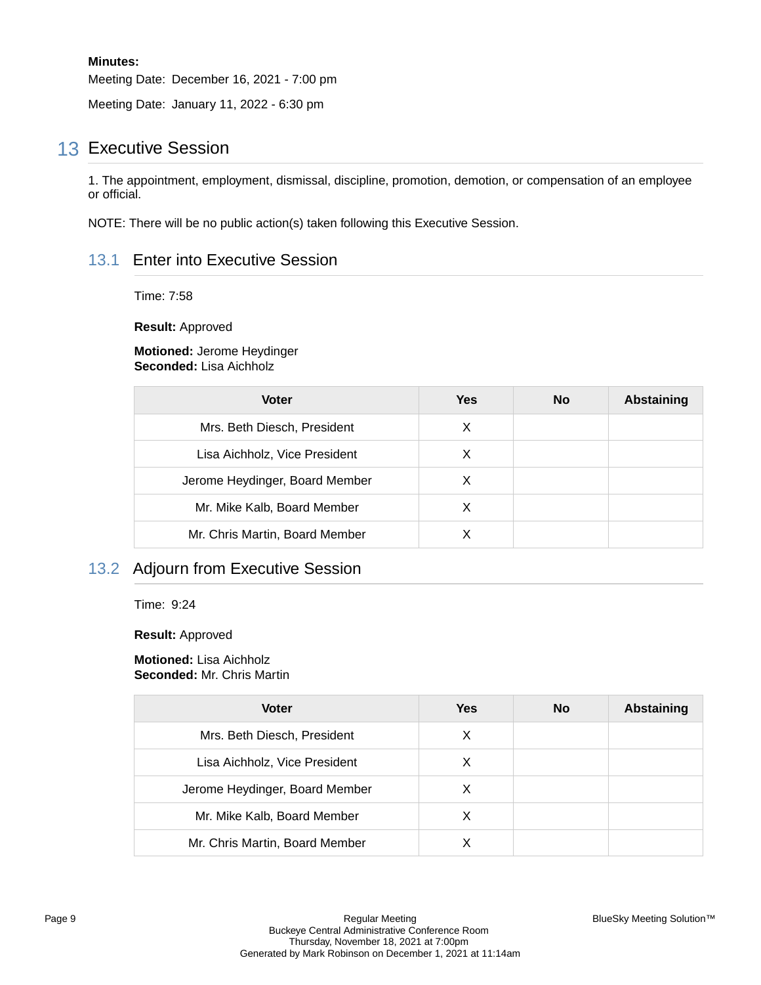#### **Minutes:**

Meeting Date: December 16, 2021 - 7:00 pm

Meeting Date: January 11, 2022 - 6:30 pm

# 13 Executive Session

1. The appointment, employment, dismissal, discipline, promotion, demotion, or compensation of an employee or official.

NOTE: There will be no public action(s) taken following this Executive Session.

### 13.1 Enter into Executive Session

Time: 7:58

**Result:** Approved

**Motioned:** Jerome Heydinger **Seconded:** Lisa Aichholz

| <b>Voter</b>                   | <b>Yes</b> | <b>No</b> | <b>Abstaining</b> |
|--------------------------------|------------|-----------|-------------------|
| Mrs. Beth Diesch, President    | X          |           |                   |
| Lisa Aichholz, Vice President  | X          |           |                   |
| Jerome Heydinger, Board Member | X          |           |                   |
| Mr. Mike Kalb, Board Member    | X          |           |                   |
| Mr. Chris Martin, Board Member | x          |           |                   |

## 13.2 Adjourn from Executive Session

Time: 9:24

**Result:** Approved

**Motioned:** Lisa Aichholz **Seconded:** Mr. Chris Martin

| <b>Voter</b>                   | <b>Yes</b> | No | <b>Abstaining</b> |
|--------------------------------|------------|----|-------------------|
| Mrs. Beth Diesch, President    | X          |    |                   |
| Lisa Aichholz, Vice President  | X          |    |                   |
| Jerome Heydinger, Board Member | X          |    |                   |
| Mr. Mike Kalb, Board Member    | х          |    |                   |
| Mr. Chris Martin, Board Member |            |    |                   |